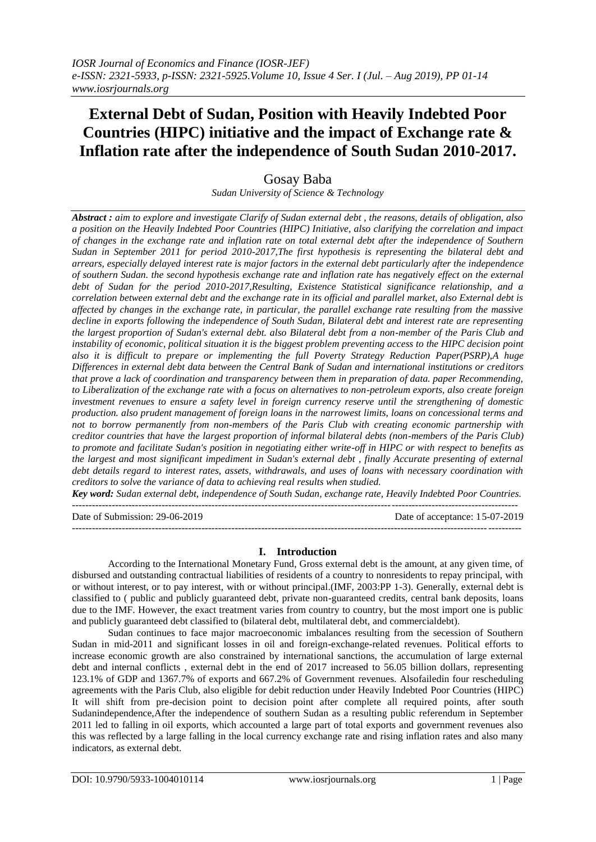# **External Debt of Sudan, Position with Heavily Indebted Poor Countries (HIPC) initiative and the impact of Exchange rate & Inflation rate after the independence of South Sudan 2010-2017.**

# Gosay Baba

*Sudan University of Science & Technology*

*Abstract : aim to explore and investigate Clarify of Sudan external debt , the reasons, details of obligation, also a position on the Heavily Indebted Poor Countries (HIPC) Initiative, also clarifying the correlation and impact of changes in the exchange rate and inflation rate on total external debt after the independence of Southern Sudan in September 2011 for period 2010-2017,The first hypothesis is representing the bilateral debt and arrears, especially delayed interest rate is major factors in the external debt particularly after the independence of southern Sudan. the second hypothesis exchange rate and inflation rate has negatively effect on the external debt of Sudan for the period 2010-2017,Resulting, Existence Statistical significance relationship, and a correlation between external debt and the exchange rate in its official and parallel market, also External debt is affected by changes in the exchange rate, in particular, the parallel exchange rate resulting from the massive decline in exports following the independence of South Sudan, Bilateral debt and interest rate are representing the largest proportion of Sudan's external debt. also Bilateral debt from a non-member of the Paris Club and instability of economic, political situation it is the biggest problem preventing access to the HIPC decision point also it is difficult to prepare or implementing the full Poverty Strategy Reduction Paper(PSRP),A huge Differences in external debt data between the Central Bank of Sudan and international institutions or creditors that prove a lack of coordination and transparency between them in preparation of data. paper Recommending, to Liberalization of the exchange rate with a focus on alternatives to non-petroleum exports, also create foreign investment revenues to ensure a safety level in foreign currency reserve until the strengthening of domestic production. also prudent management of foreign loans in the narrowest limits, loans on concessional terms and not to borrow permanently from non-members of the Paris Club with creating economic partnership with creditor countries that have the largest proportion of informal bilateral debts (non-members of the Paris Club) to promote and facilitate Sudan's position in negotiating either write-off in HIPC or with respect to benefits as the largest and most significant impediment in Sudan's external debt , finally Accurate presenting of external debt details regard to interest rates, assets, withdrawals, and uses of loans with necessary coordination with creditors to solve the variance of data to achieving real results when studied.*

*Key word: Sudan external debt, independence of South Sudan, exchange rate, Heavily Indebted Poor Countries.* --------------------------------------------------------------------------------------------------------------------------------------

---------------------------------------------------------------------------------------------------------------------------------------

Date of Submission: 29-06-2019 Date of acceptance: 15-07-2019

## **I. Introduction**

According to the [International Monetary Fund,](https://en.wikipedia.org/wiki/International_Monetary_Fund) Gross external debt is the amount, at any given time, of disbursed and outstanding contractual liabilities of residents of a country to nonresidents to repay principal, with or without interest, or to pay interest, with or without principal.(IMF, 2003:PP 1-3). Generally, external debt is classified to ( public and publicly guaranteed debt, private non-guaranteed credits, central bank deposits, loans due to the IMF. However, the exact treatment varies from country to country, but the most import one is public and publicly guaranteed debt classified to (bilateral debt, multilateral debt, and commercialdebt).

Sudan continues to face major macroeconomic imbalances resulting from the secession of Southern Sudan in mid-2011 and significant losses in oil and foreign-exchange-related revenues. Political efforts to increase economic growth are also constrained by international sanctions, the accumulation of large external debt and internal conflicts , external debt in the end of 2017 increased to 56.05 billion dollars, representing 123.1% of GDP and 1367.7% of exports and 667.2% of Government revenues. Alsofailedin four rescheduling agreements with the Paris Club, also eligible for debit reduction under Heavily Indebted Poor Countries (HIPC) It will shift from pre-decision point to decision point after complete all required points, after south Sudanindependence,After the independence of southern Sudan as a resulting public referendum in September 2011 led to falling in oil exports, which accounted a large part of total exports and government revenues also this was reflected by a large falling in the local currency exchange rate and rising inflation rates and also many indicators, as external debt.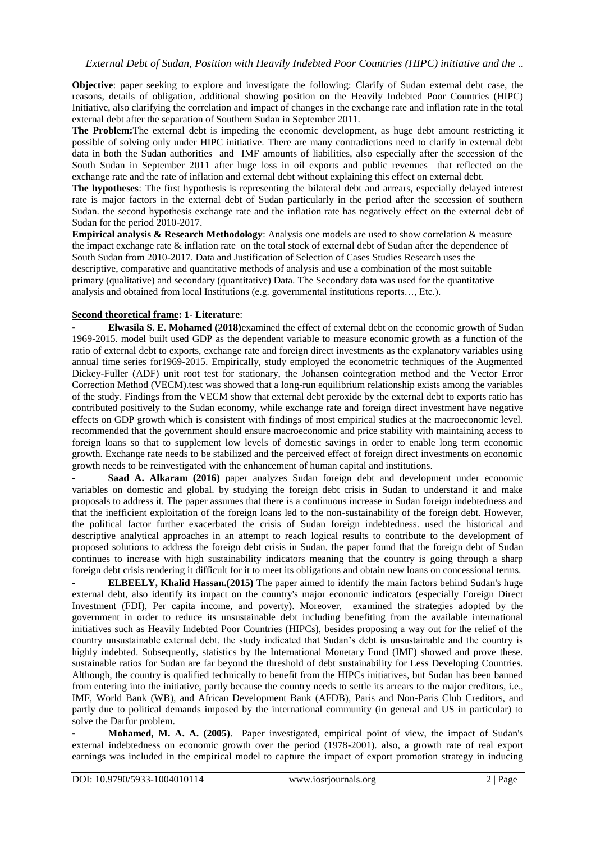**Objective**: paper seeking to explore and investigate the following: Clarify of Sudan external debt case, the reasons, details of obligation, additional showing position on the Heavily Indebted Poor Countries (HIPC) Initiative, also clarifying the correlation and impact of changes in the exchange rate and inflation rate in the total external debt after the separation of Southern Sudan in September 2011.

**The Problem:**The external debt is impeding the economic development, as huge debt amount restricting it possible of solving only under HIPC initiative. There are many contradictions need to clarify in external debt data in both the Sudan authorities and IMF amounts of liabilities, also especially after the secession of the South Sudan in September 2011 after huge loss in oil exports and public revenues that reflected on the exchange rate and the rate of inflation and external debt without explaining this effect on external debt.

**The hypotheses**: The first hypothesis is representing the bilateral debt and arrears, especially delayed interest rate is major factors in the external debt of Sudan particularly in the period after the secession of southern Sudan. the second hypothesis exchange rate and the inflation rate has negatively effect on the external debt of Sudan for the period 2010-2017.

**Empirical analysis & Research Methodology**: Analysis one models are used to show correlation & measure the impact exchange rate & inflation rate on the total stock of external debt of Sudan after the dependence of South Sudan from 2010-2017. Data and Justification of Selection of Cases Studies Research uses the descriptive, comparative and quantitative methods of analysis and use a combination of the most suitable primary (qualitative) and secondary (quantitative) Data. The Secondary data was used for the quantitative analysis and obtained from local Institutions (e.g. governmental institutions reports…, Etc.).

# **Second theoretical frame: 1- Literature**:

**- Elwasila S. E. Mohamed (2018)**examined the effect of external debt on the economic growth of Sudan 1969-2015. model built used GDP as the dependent variable to measure economic growth as a function of the ratio of external debt to exports, exchange rate and foreign direct investments as the explanatory variables using annual time series for1969-2015. Empirically, study employed the econometric techniques of the Augmented Dickey-Fuller (ADF) unit root test for stationary, the Johansen cointegration method and the Vector Error Correction Method (VECM).test was showed that a long-run equilibrium relationship exists among the variables of the study. Findings from the VECM show that external debt peroxide by the external debt to exports ratio has contributed positively to the Sudan economy, while exchange rate and foreign direct investment have negative effects on GDP growth which is consistent with findings of most empirical studies at the macroeconomic level. recommended that the government should ensure macroeconomic and price stability with maintaining access to foreign loans so that to supplement low levels of domestic savings in order to enable long term economic growth. Exchange rate needs to be stabilized and the perceived effect of foreign direct investments on economic growth needs to be reinvestigated with the enhancement of human capital and institutions.

**- Saad A. Alkaram (2016)** paper analyzes Sudan foreign debt and development under economic variables on domestic and global. by studying the foreign debt crisis in Sudan to understand it and make proposals to address it. The paper assumes that there is a continuous increase in Sudan foreign indebtedness and that the inefficient exploitation of the foreign loans led to the non-sustainability of the foreign debt. However, the political factor further exacerbated the crisis of Sudan foreign indebtedness. used the historical and descriptive analytical approaches in an attempt to reach logical results to contribute to the development of proposed solutions to address the foreign debt crisis in Sudan. the paper found that the foreign debt of Sudan continues to increase with high sustainability indicators meaning that the country is going through a sharp foreign debt crisis rendering it difficult for it to meet its obligations and obtain new loans on concessional terms.

**- ELBEELY, Khalid Hassan.(2015)** The paper aimed to identify the main factors behind Sudan's huge external debt, also identify its impact on the country's major economic indicators (especially Foreign Direct Investment (FDI), Per capita income, and poverty). Moreover, examined the strategies adopted by the government in order to reduce its unsustainable debt including benefiting from the available international initiatives such as Heavily Indebted Poor Countries (HIPCs), besides proposing a way out for the relief of the country unsustainable external debt. the study indicated that Sudan's debt is unsustainable and the country is highly indebted. Subsequently, statistics by the International Monetary Fund (IMF) showed and prove these. sustainable ratios for Sudan are far beyond the threshold of debt sustainability for Less Developing Countries. Although, the country is qualified technically to benefit from the HIPCs initiatives, but Sudan has been banned from entering into the initiative, partly because the country needs to settle its arrears to the major creditors, i.e., IMF, World Bank (WB), and African Development Bank (AFDB), Paris and Non-Paris Club Creditors, and partly due to political demands imposed by the international community (in general and US in particular) to solve the Darfur problem.

**- Mohamed, M. A. A. (2005)**. Paper investigated, empirical point of view, the impact of Sudan's external indebtedness on economic growth over the period (1978-2001). also, a growth rate of real export earnings was included in the empirical model to capture the impact of export promotion strategy in inducing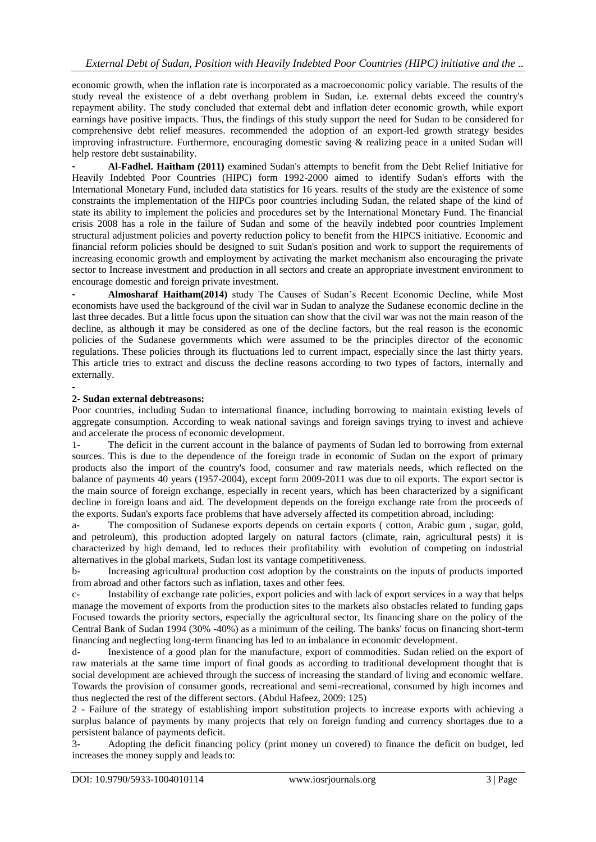economic growth, when the inflation rate is incorporated as a macroeconomic policy variable. The results of the study reveal the existence of a debt overhang problem in Sudan, i.e. external debts exceed the country's repayment ability. The study concluded that external debt and inflation deter economic growth, while export earnings have positive impacts. Thus, the findings of this study support the need for Sudan to be considered for comprehensive debt relief measures. recommended the adoption of an export-led growth strategy besides improving infrastructure. Furthermore, encouraging domestic saving & realizing peace in a united Sudan will help restore debt sustainability.

**- Al-Fadhel. Haitham (2011)** examined Sudan's attempts to benefit from the Debt Relief Initiative for Heavily Indebted Poor Countries (HIPC) form 1992-2000 aimed to identify Sudan's efforts with the International Monetary Fund, included data statistics for 16 years. results of the study are the existence of some constraints the implementation of the HIPCs poor countries including Sudan, the related shape of the kind of state its ability to implement the policies and procedures set by the International Monetary Fund. The financial crisis 2008 has a role in the failure of Sudan and some of the heavily indebted poor countries Implement structural adjustment policies and poverty reduction policy to benefit from the HIPCS initiative. Economic and financial reform policies should be designed to suit Sudan's position and work to support the requirements of increasing economic growth and employment by activating the market mechanism also encouraging the private sector to Increase investment and production in all sectors and create an appropriate investment environment to encourage domestic and foreign private investment.

**- Almosharaf Haitham(2014)** study The Causes of Sudan's Recent Economic Decline, while Most economists have used the background of the civil war in Sudan to analyze the Sudanese economic decline in the last three decades. But a little focus upon the situation can show that the civil war was not the main reason of the decline, as although it may be considered as one of the decline factors, but the real reason is the economic policies of the Sudanese governments which were assumed to be the principles director of the economic regulations. These policies through its fluctuations led to current impact, especially since the last thirty years. This article tries to extract and discuss the decline reasons according to two types of factors, internally and externally.

#### **-**

### **2- Sudan external debtreasons:**

Poor countries, including Sudan to international finance, including borrowing to maintain existing levels of aggregate consumption. According to weak national savings and foreign savings trying to invest and achieve and accelerate the process of economic development.

1- The deficit in the current account in the balance of payments of Sudan led to borrowing from external sources. This is due to the dependence of the foreign trade in economic of Sudan on the export of primary products also the import of the country's food, consumer and raw materials needs, which reflected on the balance of payments 40 years (1957-2004), except form 2009-2011 was due to oil exports. The export sector is the main source of foreign exchange, especially in recent years, which has been characterized by a significant decline in foreign loans and aid. The development depends on the foreign exchange rate from the proceeds of the exports. Sudan's exports face problems that have adversely affected its competition abroad, including:

a- The composition of Sudanese exports depends on certain exports ( cotton, Arabic gum , sugar, gold, and petroleum), this production adopted largely on natural factors (climate, rain, agricultural pests) it is characterized by high demand, led to reduces their profitability with evolution of competing on industrial alternatives in the global markets, Sudan lost its vantage competitiveness.

b- Increasing agricultural production cost adoption by the constraints on the inputs of products imported from abroad and other factors such as inflation, taxes and other fees.

c- Instability of exchange rate policies, export policies and with lack of export services in a way that helps manage the movement of exports from the production sites to the markets also obstacles related to funding gaps Focused towards the priority sectors, especially the agricultural sector, Its financing share on the policy of the Central Bank of Sudan 1994 (30% -40%) as a minimum of the ceiling. The banks' focus on financing short-term financing and neglecting long-term financing has led to an imbalance in economic development.

d- Inexistence of a good plan for the manufacture, export of commodities. Sudan relied on the export of raw materials at the same time import of final goods as according to traditional development thought that is social development are achieved through the success of increasing the standard of living and economic welfare. Towards the provision of consumer goods, recreational and semi-recreational, consumed by high incomes and thus neglected the rest of the different sectors. (Abdul Hafeez, 2009: 125)

2 - Failure of the strategy of establishing import substitution projects to increase exports with achieving a surplus balance of payments by many projects that rely on foreign funding and currency shortages due to a persistent balance of payments deficit.

3- Adopting the deficit financing policy (print money un covered) to finance the deficit on budget, led increases the money supply and leads to: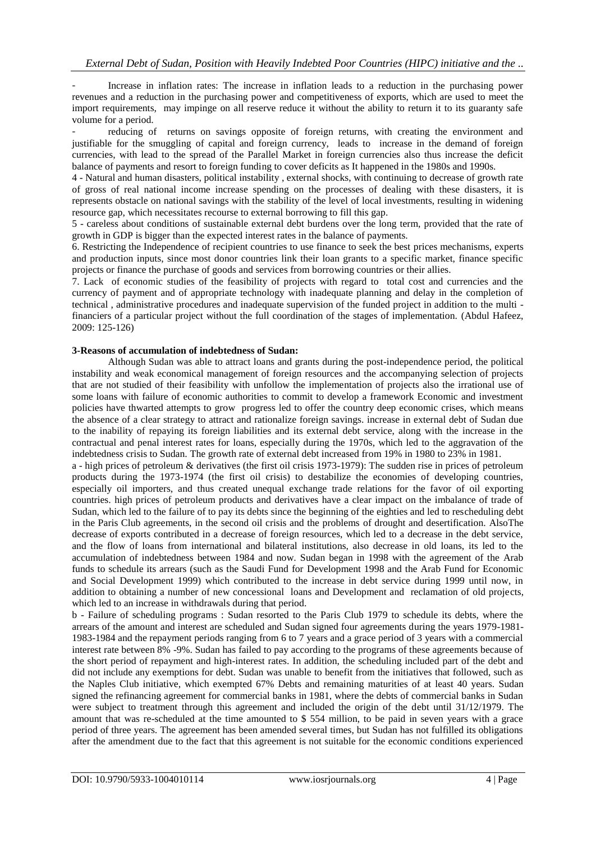- Increase in inflation rates: The increase in inflation leads to a reduction in the purchasing power revenues and a reduction in the purchasing power and competitiveness of exports, which are used to meet the import requirements, may impinge on all reserve reduce it without the ability to return it to its guaranty safe volume for a period.

reducing of returns on savings opposite of foreign returns, with creating the environment and justifiable for the smuggling of capital and foreign currency, leads to increase in the demand of foreign currencies, with lead to the spread of the Parallel Market in foreign currencies also thus increase the deficit balance of payments and resort to foreign funding to cover deficits as It happened in the 1980s and 1990s.

4 - Natural and human disasters, political instability , external shocks, with continuing to decrease of growth rate of gross of real national income increase spending on the processes of dealing with these disasters, it is represents obstacle on national savings with the stability of the level of local investments, resulting in widening resource gap, which necessitates recourse to external borrowing to fill this gap.

5 - careless about conditions of sustainable external debt burdens over the long term, provided that the rate of growth in GDP is bigger than the expected interest rates in the balance of payments.

6. Restricting the Independence of recipient countries to use finance to seek the best prices mechanisms, experts and production inputs, since most donor countries link their loan grants to a specific market, finance specific projects or finance the purchase of goods and services from borrowing countries or their allies.

7. Lack of economic studies of the feasibility of projects with regard to total cost and currencies and the currency of payment and of appropriate technology with inadequate planning and delay in the completion of technical , administrative procedures and inadequate supervision of the funded project in addition to the multi financiers of a particular project without the full coordination of the stages of implementation. (Abdul Hafeez, 2009: 125-126)

#### **3-Reasons of accumulation of indebtedness of Sudan:**

Although Sudan was able to attract loans and grants during the post-independence period, the political instability and weak economical management of foreign resources and the accompanying selection of projects that are not studied of their feasibility with unfollow the implementation of projects also the irrational use of some loans with failure of economic authorities to commit to develop a framework Economic and investment policies have thwarted attempts to grow progress led to offer the country deep economic crises, which means the absence of a clear strategy to attract and rationalize foreign savings. increase in external debt of Sudan due to the inability of repaying its foreign liabilities and its external debt service, along with the increase in the contractual and penal interest rates for loans, especially during the 1970s, which led to the aggravation of the indebtedness crisis to Sudan. The growth rate of external debt increased from 19% in 1980 to 23% in 1981.

a - high prices of petroleum & derivatives (the first oil crisis 1973-1979): The sudden rise in prices of petroleum products during the 1973-1974 (the first oil crisis) to destabilize the economies of developing countries, especially oil importers, and thus created unequal exchange trade relations for the favor of oil exporting countries. high prices of petroleum products and derivatives have a clear impact on the imbalance of trade of Sudan, which led to the failure of to pay its debts since the beginning of the eighties and led to rescheduling debt in the Paris Club agreements, in the second oil crisis and the problems of drought and desertification. AlsoThe decrease of exports contributed in a decrease of foreign resources, which led to a decrease in the debt service, and the flow of loans from international and bilateral institutions, also decrease in old loans, its led to the accumulation of indebtedness between 1984 and now. Sudan began in 1998 with the agreement of the Arab funds to schedule its arrears (such as the Saudi Fund for Development 1998 and the Arab Fund for Economic and Social Development 1999) which contributed to the increase in debt service during 1999 until now, in addition to obtaining a number of new concessional loans and Development and reclamation of old projects, which led to an increase in withdrawals during that period.

b - Failure of scheduling programs : Sudan resorted to the Paris Club 1979 to schedule its debts, where the arrears of the amount and interest are scheduled and Sudan signed four agreements during the years 1979-1981- 1983-1984 and the repayment periods ranging from 6 to 7 years and a grace period of 3 years with a commercial interest rate between 8% -9%. Sudan has failed to pay according to the programs of these agreements because of the short period of repayment and high-interest rates. In addition, the scheduling included part of the debt and did not include any exemptions for debt. Sudan was unable to benefit from the initiatives that followed, such as the Naples Club initiative, which exempted 67% Debts and remaining maturities of at least 40 years. Sudan signed the refinancing agreement for commercial banks in 1981, where the debts of commercial banks in Sudan were subject to treatment through this agreement and included the origin of the debt until 31/12/1979. The amount that was re-scheduled at the time amounted to \$ 554 million, to be paid in seven years with a grace period of three years. The agreement has been amended several times, but Sudan has not fulfilled its obligations after the amendment due to the fact that this agreement is not suitable for the economic conditions experienced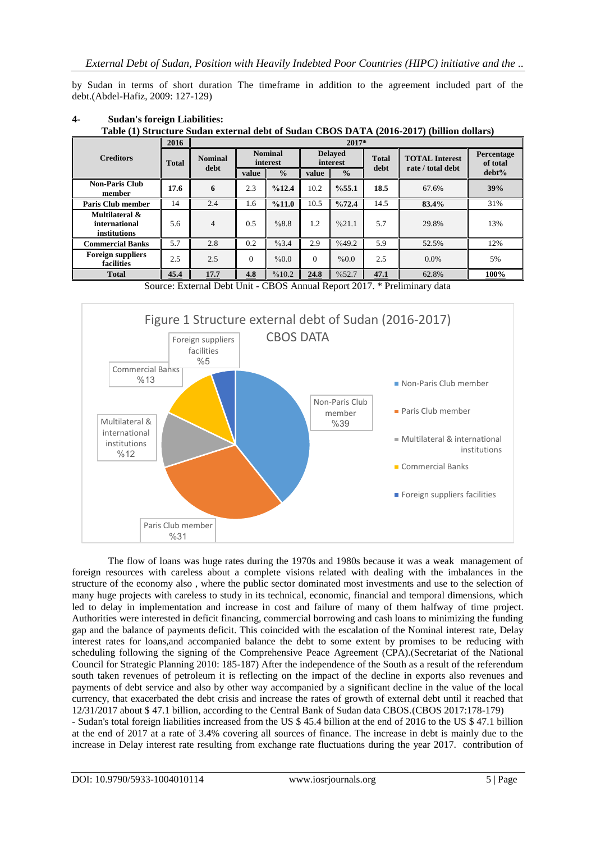by Sudan in terms of short duration The timeframe in addition to the agreement included part of the debt.(Abdel-Hafiz, 2009: 127-129)

| Table (1) Structure Sudan external debt of Sudan CDOS DATA (2010-2017) (billion donars) |              |                        |                            |               |                            |               |                      |                                            |                        |
|-----------------------------------------------------------------------------------------|--------------|------------------------|----------------------------|---------------|----------------------------|---------------|----------------------|--------------------------------------------|------------------------|
|                                                                                         | 2016         |                        |                            |               |                            | $2017*$       |                      |                                            |                        |
| <b>Creditors</b>                                                                        | <b>Total</b> | <b>Nominal</b><br>debt | <b>Nominal</b><br>interest |               | <b>Delaved</b><br>interest |               | <b>Total</b><br>debt | <b>TOTAL Interest</b><br>rate / total debt | Percentage<br>of total |
|                                                                                         |              |                        | value                      | $\frac{0}{0}$ | value                      | $\frac{0}{0}$ |                      |                                            | $debt\%$               |
| <b>Non-Paris Club</b><br>member                                                         | 17.6         | 6                      | 2.3                        | %12.4         | 10.2                       | %55.1         | 18.5                 | 67.6%                                      | 39%                    |
| <b>Paris Club member</b>                                                                | 14           | 2.4                    | 1.6                        | %11.0         | 10.5                       | %72.4         | 14.5                 | 83.4%                                      | 31%                    |
| Multilateral &<br>international<br>institutions                                         | 5.6          | $\overline{4}$         | 0.5                        | %8.8          | 1.2                        | %21.1         | 5.7                  | 29.8%                                      | 13%                    |
| <b>Commercial Banks</b>                                                                 | 5.7          | 2.8                    | 0.2                        | %3.4          | 2.9                        | %49.2         | 5.9                  | 52.5%                                      | 12%                    |
| <b>Foreign suppliers</b><br>facilities                                                  | 2.5          | 2.5                    | $\Omega$                   | $\%0.0$       | $\Omega$                   | %0.0          | 2.5                  | $0.0\%$                                    | 5%                     |
| <b>Total</b>                                                                            | 45.4         | 17.7                   | 4.8                        | %10.2         | 24.8                       | %52.7         | 47.1                 | 62.8%                                      | 100%                   |

#### **4- Sudan's foreign Liabilities:**

**Table (1) Structure Sudan external debt of Sudan CBOS DATA (2016-2017) (billion dollars)**

Source: External Debt Unit - CBOS Annual Report 2017. \* Preliminary data



The flow of loans was huge rates during the 1970s and 1980s because it was a weak management of foreign resources with careless about a complete visions related with dealing with the imbalances in the structure of the economy also , where the public sector dominated most investments and use to the selection of many huge projects with careless to study in its technical, economic, financial and temporal dimensions, which led to delay in implementation and increase in cost and failure of many of them halfway of time project. Authorities were interested in deficit financing, commercial borrowing and cash loans to minimizing the funding gap and the balance of payments deficit. This coincided with the escalation of the Nominal interest rate, Delay interest rates for loans,and accompanied balance the debt to some extent by promises to be reducing with scheduling following the signing of the Comprehensive Peace Agreement (CPA).(Secretariat of the National Council for Strategic Planning 2010: 185-187) After the independence of the South as a result of the referendum south taken revenues of petroleum it is reflecting on the impact of the decline in exports also revenues and payments of debt service and also by other way accompanied by a significant decline in the value of the local currency, that exacerbated the debt crisis and increase the rates of growth of external debt until it reached that 12/31/2017 about \$ 47.1 billion, according to the Central Bank of Sudan data CBOS.(CBOS 2017:178-179) - Sudan's total foreign liabilities increased from the US \$ 45.4 billion at the end of 2016 to the US \$ 47.1 billion at the end of 2017 at a rate of 3.4% covering all sources of finance. The increase in debt is mainly due to the increase in Delay interest rate resulting from exchange rate fluctuations during the year 2017. contribution of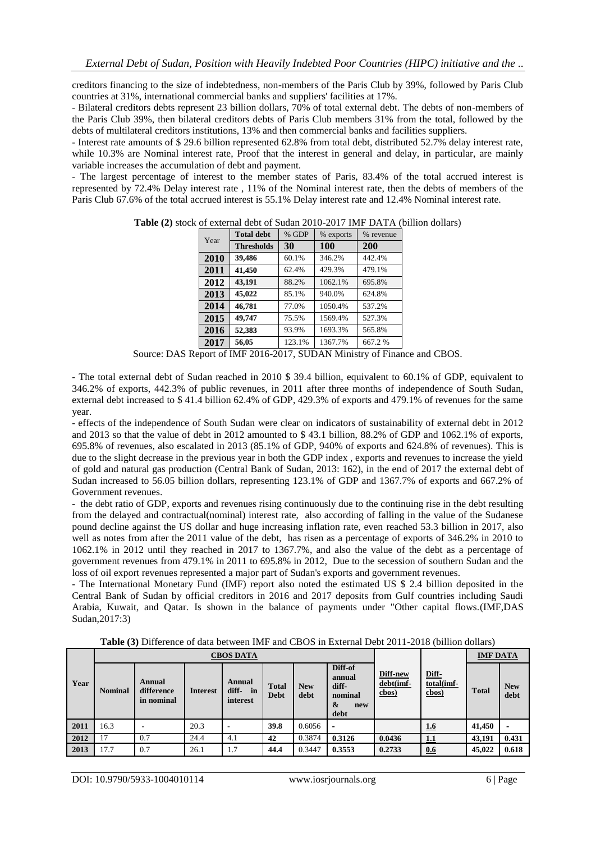creditors financing to the size of indebtedness, non-members of the Paris Club by 39%, followed by Paris Club countries at 31%, international commercial banks and suppliers' facilities at 17%.

- Bilateral creditors debts represent 23 billion dollars, 70% of total external debt. The debts of non-members of the Paris Club 39%, then bilateral creditors debts of Paris Club members 31% from the total, followed by the debts of multilateral creditors institutions, 13% and then commercial banks and facilities suppliers.

- Interest rate amounts of \$ 29.6 billion represented 62.8% from total debt, distributed 52.7% delay interest rate, while 10.3% are Nominal interest rate, Proof that the interest in general and delay, in particular, are mainly variable increases the accumulation of debt and payment.

- The largest percentage of interest to the member states of Paris, 83.4% of the total accrued interest is represented by 72.4% Delay interest rate , 11% of the Nominal interest rate, then the debts of members of the Paris Club 67.6% of the total accrued interest is 55.1% Delay interest rate and 12.4% Nominal interest rate.

| Year | <b>Total debt</b> | % GDP  | % exports | % revenue |
|------|-------------------|--------|-----------|-----------|
|      | <b>Thresholds</b> | 30     | 100       | 200       |
| 2010 | 39,486            | 60.1%  | 346.2%    | 442.4%    |
| 2011 | 41,450            | 62.4%  | 429.3%    | 479.1%    |
| 2012 | 43,191            | 88.2%  | 1062.1%   | 695.8%    |
| 2013 | 45,022            | 85.1%  | 940.0%    | 624.8%    |
| 2014 | 46,781            | 77.0%  | 1050.4%   | 537.2%    |
| 2015 | 49,747            | 75.5%  | 1569.4%   | 527.3%    |
| 2016 | 52,383            | 93.9%  | 1693.3%   | 565.8%    |
| 2017 | 56,05             | 123.1% | 1367.7%   | 667.2%    |

**Table (2)** stock of external debt of Sudan 2010-2017 IMF DATA (billion dollars)

Source: DAS Report of IMF 2016-2017, SUDAN Ministry of Finance and CBOS.

- The total external debt of Sudan reached in 2010 \$ 39.4 billion, equivalent to 60.1% of GDP, equivalent to 346.2% of exports, 442.3% of public revenues, in 2011 after three months of independence of South Sudan, external debt increased to \$ 41.4 billion 62.4% of GDP, 429.3% of exports and 479.1% of revenues for the same year.

- effects of the independence of South Sudan were clear on indicators of sustainability of external debt in 2012 and 2013 so that the value of debt in 2012 amounted to \$ 43.1 billion, 88.2% of GDP and 1062.1% of exports, 695.8% of revenues, also escalated in 2013 (85.1% of GDP, 940% of exports and 624.8% of revenues). This is due to the slight decrease in the previous year in both the GDP index , exports and revenues to increase the yield of gold and natural gas production (Central Bank of Sudan, 2013: 162), in the end of 2017 the external debt of Sudan increased to 56.05 billion dollars, representing 123.1% of GDP and 1367.7% of exports and 667.2% of Government revenues.

- the debt ratio of GDP, exports and revenues rising continuously due to the continuing rise in the debt resulting from the delayed and contractual(nominal) interest rate, also according of falling in the value of the Sudanese pound decline against the US dollar and huge increasing inflation rate, even reached 53.3 billion in 2017, also well as notes from after the 2011 value of the debt, has risen as a percentage of exports of 346.2% in 2010 to 1062.1% in 2012 until they reached in 2017 to 1367.7%, and also the value of the debt as a percentage of government revenues from 479.1% in 2011 to 695.8% in 2012, Due to the secession of southern Sudan and the loss of oil export revenues represented a major part of Sudan's exports and government revenues.

- The International Monetary Fund (IMF) report also noted the estimated US \$ 2.4 billion deposited in the Central Bank of Sudan by official creditors in 2016 and 2017 deposits from Gulf countries including Saudi Arabia, Kuwait, and Qatar. Is shown in the balance of payments under "Other capital flows.(IMF,DAS Sudan,2017:3)

**Table (3)** Difference of data between IMF and CBOS in External Debt 2011-2018 (billion dollars)

|      |                | <b>CBOS DATA</b>                   |                 |                                   |                             |                    |                                                           |                                |                                 | <b>IMF DATA</b> |                    |
|------|----------------|------------------------------------|-----------------|-----------------------------------|-----------------------------|--------------------|-----------------------------------------------------------|--------------------------------|---------------------------------|-----------------|--------------------|
| Year | <b>Nominal</b> | Annual<br>difference<br>in nominal | <b>Interest</b> | Annual<br>diff-<br>in<br>interest | <b>Total</b><br><b>Debt</b> | <b>New</b><br>debt | Diff-of<br>annual<br>diff-<br>nominal<br>&<br>new<br>debt | Diff-new<br>debt(imf-<br>cbos) | Diff-<br>total(imf-<br>$c$ bos) | <b>Total</b>    | <b>New</b><br>debt |
| 2011 | 16.3           |                                    | 20.3            |                                   | 39.8                        | 0.6056             |                                                           |                                | <u>1.6</u>                      | 41,450          |                    |
| 2012 | 17             | 0.7                                | 24.4            | 4.1                               | 42                          | 0.3874             | 0.3126                                                    | 0.0436                         | 1.1                             | 43,191          | 0.431              |
| 2013 | 17.7           | 0.7                                | 26.1            | 1.7                               | 44.4                        | 0.3447             | 0.3553                                                    | 0.2733                         | 0.6                             | 45,022          | 0.618              |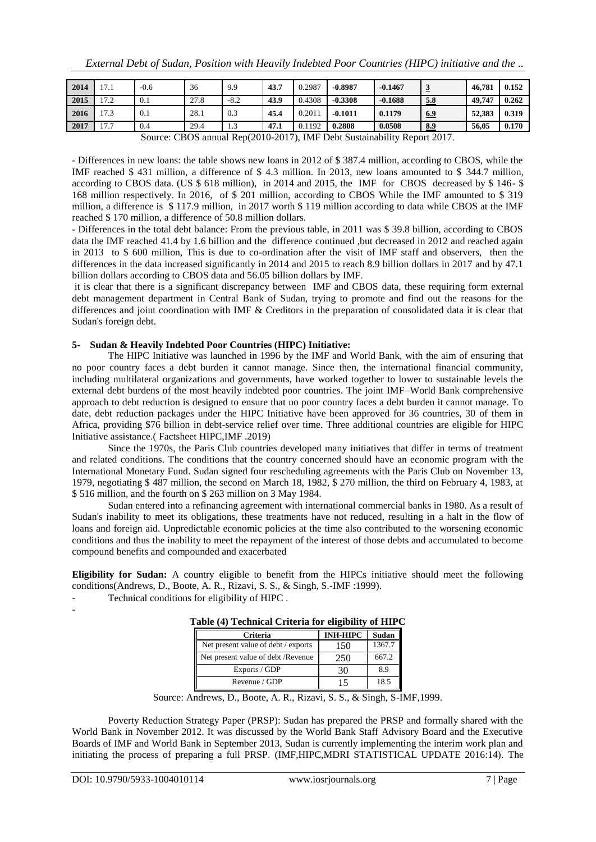| 2014 | 17.1                                                                    | $-0.6$ | 36   | 9.9    | 43.7 | 0.2987 | $-0.8987$ | $-0.1467$ | $\overline{3}$ | 46,781 | 0.152 |
|------|-------------------------------------------------------------------------|--------|------|--------|------|--------|-----------|-----------|----------------|--------|-------|
| 2015 | 17.2                                                                    | 0.1    | 27.8 | $-8.2$ | 43.9 | 0.4308 | $-0.3308$ | $-0.1688$ | 5.8            | 49.747 | 0.262 |
| 2016 | 17.3                                                                    | 0.1    | 28.1 | 0.3    | 45.4 | 0.2011 | $-0.1011$ | 0.1179    | 6.9            | 52,383 | 0.319 |
| 2017 | 17.7                                                                    | 0.4    | 29.4 | 1.3    | 47.1 | 0.1192 | 0.2808    | 0.0508    | 8.9            | 56.05  | 0.170 |
|      | Source: CBOS annual Rep(2010-2017). IMF Debt Sustainability Report 2017 |        |      |        |      |        |           |           |                |        |       |

Source: CBOS annual Rep(2010-2017), IMF Debt Sustainability Report 2017.

- Differences in new loans: the table shows new loans in 2012 of \$ 387.4 million, according to CBOS, while the IMF reached \$ 431 million, a difference of \$ 4.3 million. In 2013, new loans amounted to \$ 344.7 million, according to CBOS data. (US \$ 618 million), in 2014 and 2015, the IMF for CBOS decreased by \$ 146- \$ 168 million respectively. In 2016, of \$ 201 million, according to CBOS While the IMF amounted to \$ 319 million, a difference is \$ 117.9 million, in 2017 worth \$ 119 million according to data while CBOS at the IMF reached \$ 170 million, a difference of 50.8 million dollars.

- Differences in the total debt balance: From the previous table, in 2011 was \$ 39.8 billion, according to CBOS data the IMF reached 41.4 by 1.6 billion and the difference continued ,but decreased in 2012 and reached again in 2013 to \$ 600 million, This is due to co-ordination after the visit of IMF staff and observers, then the differences in the data increased significantly in 2014 and 2015 to reach 8.9 billion dollars in 2017 and by 47.1 billion dollars according to CBOS data and 56.05 billion dollars by IMF.

it is clear that there is a significant discrepancy between IMF and CBOS data, these requiring form external debt management department in Central Bank of Sudan, trying to promote and find out the reasons for the differences and joint coordination with IMF & Creditors in the preparation of consolidated data it is clear that Sudan's foreign debt.

### **5- Sudan & Heavily Indebted Poor Countries (HIPC) Initiative:**

The HIPC Initiative was launched in 1996 by the IMF and World Bank, with the aim of ensuring that no poor country faces a debt burden it cannot manage. Since then, the international financial community, including multilateral organizations and governments, have worked together to lower to sustainable levels the external debt burdens of the most heavily indebted poor countries. The joint IMF–World Bank comprehensive approach to debt reduction is designed to ensure that no poor country faces a debt burden it cannot manage. To date, debt reduction packages under the HIPC Initiative have been approved for 36 countries, 30 of them in Africa, providing \$76 billion in debt-service relief over time. Three additional countries are eligible for HIPC Initiative assistance.( Factsheet HIPC,IMF .2019)

Since the 1970s, the Paris Club countries developed many initiatives that differ in terms of treatment and related conditions. The conditions that the country concerned should have an economic program with the International Monetary Fund. Sudan signed four rescheduling agreements with the Paris Club on November 13, 1979, negotiating \$ 487 million, the second on March 18, 1982, \$ 270 million, the third on February 4, 1983, at \$ 516 million, and the fourth on \$ 263 million on 3 May 1984.

Sudan entered into a refinancing agreement with international commercial banks in 1980. As a result of Sudan's inability to meet its obligations, these treatments have not reduced, resulting in a halt in the flow of loans and foreign aid. Unpredictable economic policies at the time also contributed to the worsening economic conditions and thus the inability to meet the repayment of the interest of those debts and accumulated to become compound benefits and compounded and exacerbated

**Eligibility for Sudan:** A country eligible to benefit from the HIPCs initiative should meet the following conditions(Andrews, D., Boote, A. R., Rizavi, S. S., & Singh, S.-IMF :1999).

- Technical conditions for eligibility of HIPC .

| <b>Criteria</b>                     | <b>INH-HIPC</b> | Sudan  |  |  |  |
|-------------------------------------|-----------------|--------|--|--|--|
| Net present value of debt / exports | 150             | 1367.7 |  |  |  |
| Net present value of debt /Revenue  | 250             | 667.2  |  |  |  |
| Exports / GDP                       | 30              | 89     |  |  |  |
| Revenue / GDP                       | 15              | 18.5   |  |  |  |

# **Table (4) Technical Criteria for eligibility of HIPC**

Source: Andrews, D., Boote, A. R., Rizavi, S. S., & Singh, S-IMF,1999.

Poverty Reduction Strategy Paper (PRSP): Sudan has prepared the PRSP and formally shared with the World Bank in November 2012. It was discussed by the World Bank Staff Advisory Board and the Executive Boards of IMF and World Bank in September 2013, Sudan is currently implementing the interim work plan and initiating the process of preparing a full PRSP. (IMF,HIPC,MDRI STATISTICAL UPDATE 2016:14). The

-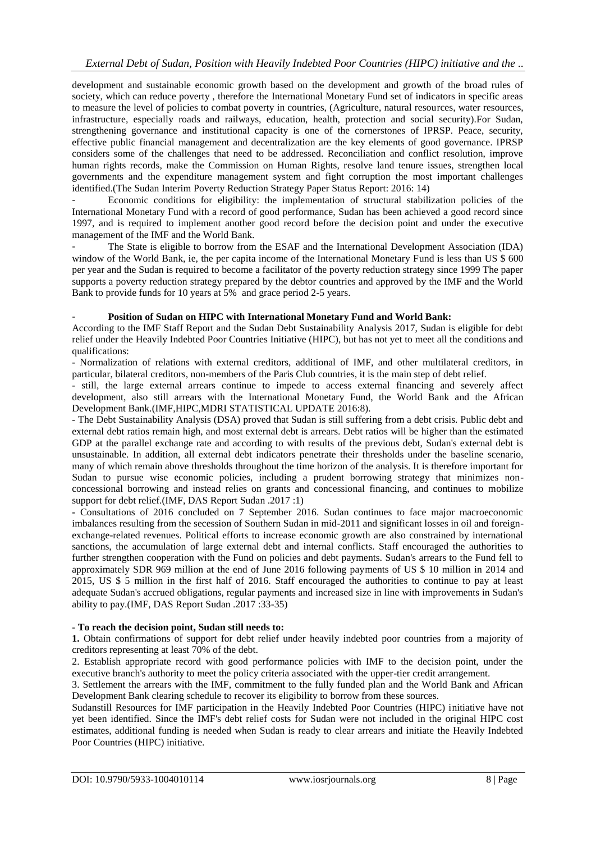development and sustainable economic growth based on the development and growth of the broad rules of society, which can reduce poverty , therefore the International Monetary Fund set of indicators in specific areas to measure the level of policies to combat poverty in countries, (Agriculture, natural resources, water resources, infrastructure, especially roads and railways, education, health, protection and social security).For Sudan, strengthening governance and institutional capacity is one of the cornerstones of IPRSP. Peace, security, effective public financial management and decentralization are the key elements of good governance. IPRSP considers some of the challenges that need to be addressed. Reconciliation and conflict resolution, improve human rights records, make the Commission on Human Rights, resolve land tenure issues, strengthen local governments and the expenditure management system and fight corruption the most important challenges identified.(The Sudan Interim Poverty Reduction Strategy Paper Status Report: 2016: 14)

- Economic conditions for eligibility: the implementation of structural stabilization policies of the International Monetary Fund with a record of good performance, Sudan has been achieved a good record since 1997, and is required to implement another good record before the decision point and under the executive management of the IMF and the World Bank.

The State is eligible to borrow from the ESAF and the International Development Association (IDA) window of the World Bank, ie, the per capita income of the International Monetary Fund is less than US \$ 600 per year and the Sudan is required to become a facilitator of the poverty reduction strategy since 1999 The paper supports a poverty reduction strategy prepared by the debtor countries and approved by the IMF and the World Bank to provide funds for 10 years at 5% and grace period 2-5 years.

## - **Position of Sudan on HIPC with International Monetary Fund and World Bank:**

According to the IMF Staff Report and the Sudan Debt Sustainability Analysis 2017, Sudan is eligible for debt relief under the Heavily Indebted Poor Countries Initiative (HIPC), but has not yet to meet all the conditions and qualifications:

- Normalization of relations with external creditors, additional of IMF, and other multilateral creditors, in particular, bilateral creditors, non-members of the Paris Club countries, it is the main step of debt relief.

- still, the large external arrears continue to impede to access external financing and severely affect development, also still arrears with the International Monetary Fund, the World Bank and the African Development Bank.(IMF,HIPC,MDRI STATISTICAL UPDATE 2016:8).

- The Debt Sustainability Analysis (DSA) proved that Sudan is still suffering from a debt crisis. Public debt and external debt ratios remain high, and most external debt is arrears. Debt ratios will be higher than the estimated GDP at the parallel exchange rate and according to with results of the previous debt, Sudan's external debt is unsustainable. In addition, all external debt indicators penetrate their thresholds under the baseline scenario, many of which remain above thresholds throughout the time horizon of the analysis. It is therefore important for Sudan to pursue wise economic policies, including a prudent borrowing strategy that minimizes nonconcessional borrowing and instead relies on grants and concessional financing, and continues to mobilize support for debt relief.(IMF, DAS Report Sudan .2017 :1)

**-** Consultations of 2016 concluded on 7 September 2016. Sudan continues to face major macroeconomic imbalances resulting from the secession of Southern Sudan in mid-2011 and significant losses in oil and foreignexchange-related revenues. Political efforts to increase economic growth are also constrained by international sanctions, the accumulation of large external debt and internal conflicts. Staff encouraged the authorities to further strengthen cooperation with the Fund on policies and debt payments. Sudan's arrears to the Fund fell to approximately SDR 969 million at the end of June 2016 following payments of US \$ 10 million in 2014 and 2015, US \$ 5 million in the first half of 2016. Staff encouraged the authorities to continue to pay at least adequate Sudan's accrued obligations, regular payments and increased size in line with improvements in Sudan's ability to pay.(IMF, DAS Report Sudan .2017 :33-35)

## **- To reach the decision point, Sudan still needs to:**

**1.** Obtain confirmations of support for debt relief under heavily indebted poor countries from a majority of creditors representing at least 70% of the debt.

2. Establish appropriate record with good performance policies with IMF to the decision point, under the executive branch's authority to meet the policy criteria associated with the upper-tier credit arrangement.

3. Settlement the arrears with the IMF, commitment to the fully funded plan and the World Bank and African Development Bank clearing schedule to recover its eligibility to borrow from these sources.

Sudanstill Resources for IMF participation in the Heavily Indebted Poor Countries (HIPC) initiative have not yet been identified. Since the IMF's debt relief costs for Sudan were not included in the original HIPC cost estimates, additional funding is needed when Sudan is ready to clear arrears and initiate the Heavily Indebted Poor Countries (HIPC) initiative.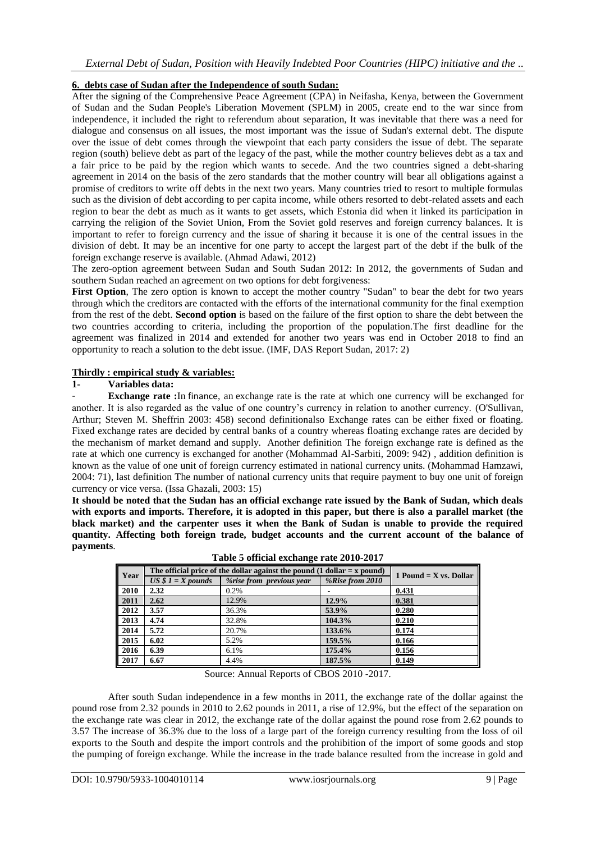## **6. debts case of Sudan after the Independence of south Sudan:**

After the signing of the Comprehensive Peace Agreement (CPA) in Neifasha, Kenya, between the Government of Sudan and the Sudan People's Liberation Movement (SPLM) in 2005, create end to the war since from independence, it included the right to referendum about separation, It was inevitable that there was a need for dialogue and consensus on all issues, the most important was the issue of Sudan's external debt. The dispute over the issue of debt comes through the viewpoint that each party considers the issue of debt. The separate region (south) believe debt as part of the legacy of the past, while the mother country believes debt as a tax and a fair price to be paid by the region which wants to secede. And the two countries signed a debt-sharing agreement in 2014 on the basis of the zero standards that the mother country will bear all obligations against a promise of creditors to write off debts in the next two years. Many countries tried to resort to multiple formulas such as the division of debt according to per capita income, while others resorted to debt-related assets and each region to bear the debt as much as it wants to get assets, which Estonia did when it linked its participation in carrying the religion of the Soviet Union, From the Soviet gold reserves and foreign currency balances. It is important to refer to foreign currency and the issue of sharing it because it is one of the central issues in the division of debt. It may be an incentive for one party to accept the largest part of the debt if the bulk of the foreign exchange reserve is available. (Ahmad Adawi, 2012)

The zero-option agreement between Sudan and South Sudan 2012: In 2012, the governments of Sudan and southern Sudan reached an agreement on two options for debt forgiveness:

First Option, The zero option is known to accept the mother country "Sudan" to bear the debt for two years through which the creditors are contacted with the efforts of the international community for the final exemption from the rest of the debt. **Second option** is based on the failure of the first option to share the debt between the two countries according to criteria, including the proportion of the population.The first deadline for the agreement was finalized in 2014 and extended for another two years was end in October 2018 to find an opportunity to reach a solution to the debt issue. (IMF, DAS Report Sudan, 2017: 2)

### **Thirdly : empirical study & variables:**

### **1- Variables data:**

**Exchange rate** : In [finance](https://en.wikipedia.org/wiki/Finance), an exchange rate is the rate at which one currency will be exchanged for another. It is also regarded as the value of one country's currency in relation to another currency. (O'Sullivan, Arthur; Steven M. Sheffrin 2003: 458) second definitionalso Exchange rates can be either fixed or floating. Fixed exchange rates are decided by central banks of a country whereas floating exchange rates are decided by the mechanism of market demand and supply. Another definition The foreign exchange rate is defined as the rate at which one currency is exchanged for another (Mohammad Al-Sarbiti, 2009: 942) , addition definition is known as the value of one unit of foreign currency estimated in national currency units. (Mohammad Hamzawi, 2004: 71), last definition The number of national currency units that require payment to buy one unit of foreign currency or vice versa. (Issa Ghazali, 2003: 15)

**It should be noted that the Sudan has an official exchange rate issued by the Bank of Sudan, which deals with exports and imports. Therefore, it is adopted in this paper, but there is also a parallel market (the black market) and the carpenter uses it when the Bank of Sudan is unable to provide the required quantity. Affecting both foreign trade, budget accounts and the current account of the balance of payments**.

| Year | The official price of the dollar against the pound $(1$ dollar = x pound) | 1 Pound $=$ X vs. Dollar |                 |       |
|------|---------------------------------------------------------------------------|--------------------------|-----------------|-------|
|      | $US $1 = X pounds$                                                        | %rise from previous year | %Rise from 2010 |       |
| 2010 | 2.32                                                                      | $0.2\%$                  |                 | 0.431 |
| 2011 | 2.62                                                                      | 12.9%                    | 12.9%           | 0.381 |
| 2012 | 3.57                                                                      | 36.3%                    | 53.9%           | 0.280 |
| 2013 | 4.74                                                                      | 32.8%                    | 104.3%          | 0.210 |
| 2014 | 5.72                                                                      | 20.7%                    | 133.6%          | 0.174 |
| 2015 | 6.02                                                                      | 5.2%                     | 159.5%          | 0.166 |
| 2016 | 6.39                                                                      | 6.1%                     | 175.4%          | 0.156 |
| 2017 | 6.67                                                                      | 4.4%                     | 187.5%          | 0.149 |

**Table 5 official exchange rate 2010-2017**

Source: Annual Reports of CBOS 2010 -2017.

After south Sudan independence in a few months in 2011, the exchange rate of the dollar against the pound rose from 2.32 pounds in 2010 to 2.62 pounds in 2011, a rise of 12.9%, but the effect of the separation on the exchange rate was clear in 2012, the exchange rate of the dollar against the pound rose from 2.62 pounds to 3.57 The increase of 36.3% due to the loss of a large part of the foreign currency resulting from the loss of oil exports to the South and despite the import controls and the prohibition of the import of some goods and stop the pumping of foreign exchange. While the increase in the trade balance resulted from the increase in gold and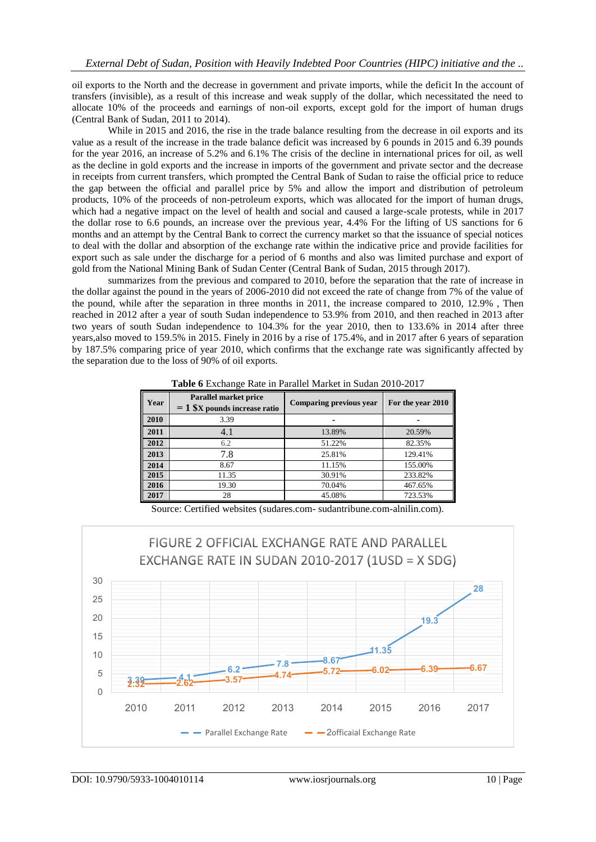oil exports to the North and the decrease in government and private imports, while the deficit In the account of transfers (invisible), as a result of this increase and weak supply of the dollar, which necessitated the need to allocate 10% of the proceeds and earnings of non-oil exports, except gold for the import of human drugs (Central Bank of Sudan, 2011 to 2014).

While in 2015 and 2016, the rise in the trade balance resulting from the decrease in oil exports and its value as a result of the increase in the trade balance deficit was increased by 6 pounds in 2015 and 6.39 pounds for the year 2016, an increase of 5.2% and 6.1% The crisis of the decline in international prices for oil, as well as the decline in gold exports and the increase in imports of the government and private sector and the decrease in receipts from current transfers, which prompted the Central Bank of Sudan to raise the official price to reduce the gap between the official and parallel price by 5% and allow the import and distribution of petroleum products, 10% of the proceeds of non-petroleum exports, which was allocated for the import of human drugs, which had a negative impact on the level of health and social and caused a large-scale protests, while in 2017 the dollar rose to 6.6 pounds, an increase over the previous year, 4.4% For the lifting of US sanctions for 6 months and an attempt by the Central Bank to correct the currency market so that the issuance of special notices to deal with the dollar and absorption of the exchange rate within the indicative price and provide facilities for export such as sale under the discharge for a period of 6 months and also was limited purchase and export of gold from the National Mining Bank of Sudan Center (Central Bank of Sudan, 2015 through 2017).

summarizes from the previous and compared to 2010, before the separation that the rate of increase in the dollar against the pound in the years of 2006-2010 did not exceed the rate of change from 7% of the value of the pound, while after the separation in three months in 2011, the increase compared to 2010, 12.9% , Then reached in 2012 after a year of south Sudan independence to 53.9% from 2010, and then reached in 2013 after two years of south Sudan independence to 104.3% for the year 2010, then to 133.6% in 2014 after three years,also moved to 159.5% in 2015. Finely in 2016 by a rise of 175.4%, and in 2017 after 6 years of separation by 187.5% comparing price of year 2010, which confirms that the exchange rate was significantly affected by the separation due to the loss of 90% of oil exports.

| Year | Parallel market price<br>$= 1$ \$X pounds increase ratio | <b>Comparing previous year</b> | For the year 2010 |
|------|----------------------------------------------------------|--------------------------------|-------------------|
| 2010 | 3.39                                                     |                                |                   |
| 2011 | 4.1                                                      | 13.89%                         | 20.59%            |
| 2012 | 6.2                                                      | 51.22%                         | 82.35%            |
| 2013 | 7.8                                                      | 25.81%                         | 129.41%           |
| 2014 | 8.67                                                     | 11.15%                         | 155.00%           |
| 2015 | 11.35                                                    | 30.91%                         | 233.82%           |
| 2016 | 19.30                                                    | 70.04%                         | 467.65%           |
| 2017 | 28                                                       | 45.08%                         | 723.53%           |

**Table 6** Exchange Rate in Parallel Market in Sudan 2010-2017

Source: Certified websites (sudares.com- sudantribune.com-alnilin.com).

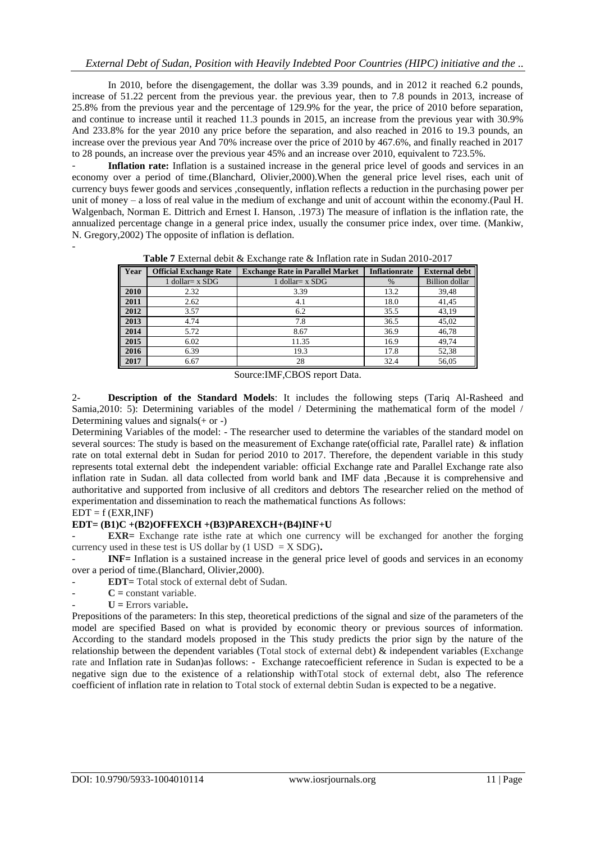In 2010, before the disengagement, the dollar was 3.39 pounds, and in 2012 it reached 6.2 pounds, increase of 51.22 percent from the previous year. the previous year, then to 7.8 pounds in 2013, increase of 25.8% from the previous year and the percentage of 129.9% for the year, the price of 2010 before separation, and continue to increase until it reached 11.3 pounds in 2015, an increase from the previous year with 30.9% And 233.8% for the year 2010 any price before the separation, and also reached in 2016 to 19.3 pounds, an increase over the previous year And 70% increase over the price of 2010 by 467.6%, and finally reached in 2017 to 28 pounds, an increase over the previous year 45% and an increase over 2010, equivalent to 723.5%.

Inflation rate: Inflation is a sustained increase in the general price level of goods and services in an economy over a period of time.(Blanchard, Olivier,2000).When the general price level rises, each unit of currency buys fewer goods and services ,consequently, inflation reflects a reduction in the purchasing power per unit of money – a loss of real value in the medium of exchange and unit of account within the economy.(Paul H. Walgenbach, Norman E. Dittrich and Ernest I. Hanson, .1973) The measure of inflation is the inflation rate, the annualized percentage change in a general price index, usually the consumer price index, over time. (Mankiw, N. Gregory,2002) The opposite of inflation is deflation.

| Year | <b>Official Exchange Rate</b> | <b>Exchange Rate in Parallel Market</b> | <b>Inflationrate</b> | <b>External debt</b>  |
|------|-------------------------------|-----------------------------------------|----------------------|-----------------------|
|      | 1 dollar = $x$ SDG            | 1 dollar = $x$ SDG                      | $\%$                 | <b>Billion</b> dollar |
| 2010 | 2.32                          | 3.39                                    | 13.2                 | 39,48                 |
| 2011 | 2.62                          | 4.1                                     | 18.0                 | 41,45                 |
| 2012 | 3.57                          | 6.2                                     | 35.5                 | 43.19                 |
| 2013 | 4.74                          | 7.8                                     | 36.5                 | 45,02                 |
| 2014 | 5.72                          | 8.67                                    | 36.9                 | 46,78                 |
| 2015 | 6.02                          | 11.35                                   | 16.9                 | 49,74                 |
| 2016 | 6.39                          | 19.3                                    | 17.8                 | 52,38                 |
| 2017 | 6.67                          | 28                                      | 32.4                 | 56,05                 |

**Table 7** External debit & Exchange rate & Inflation rate in Sudan 2010-2017

Source:IMF,CBOS report Data.

2- **Description of the Standard Models**: It includes the following steps (Tariq Al-Rasheed and Samia,2010: 5): Determining variables of the model / Determining the mathematical form of the model / Determining values and signals $(+$  or -)

Determining Variables of the model: - The researcher used to determine the variables of the standard model on several sources: The study is based on the measurement of Exchange rate(official rate, Parallel rate) & inflation rate on total external debt in Sudan for period 2010 to 2017. Therefore, the dependent variable in this study represents total external debt the independent variable: official Exchange rate and Parallel Exchange rate also inflation rate in Sudan. all data collected from world bank and IMF data ,Because it is comprehensive and authoritative and supported from inclusive of all creditors and debtors The researcher relied on the method of experimentation and dissemination to reach the mathematical functions As follows:

## $EDT = f (EXR, INF)$

-

## **EDT= (B1)C +(B2)OFFEXCH +(B3)PAREXCH+(B4)INF+U**

**EXR** = Exchange rate is the rate at which one currency will be exchanged for another the forging currency used in these test is US dollar by  $(1 \text{ USD} = X \text{SDG})$ .

**INF**= Inflation is a sustained increase in the general price level of goods and services in an economy over a period of time.(Blanchard, Olivier,2000).

- **EDT=** Total stock of external debt of Sudan.
- $C =$  constant variable.
- **U =** Errors variable**.**

Prepositions of the parameters: In this step, theoretical predictions of the signal and size of the parameters of the model are specified Based on what is provided by economic theory or previous sources of information. According to the standard models proposed in the This study predicts the prior sign by the nature of the relationship between the dependent variables (Total stock of external debt) & independent variables (Exchange rate and Inflation rate in Sudan)as follows: - Exchange ratecoefficient reference in Sudan is expected to be a negative sign due to the existence of a relationship withTotal stock of external debt, also The reference coefficient of inflation rate in relation to Total stock of external debtin Sudan is expected to be a negative.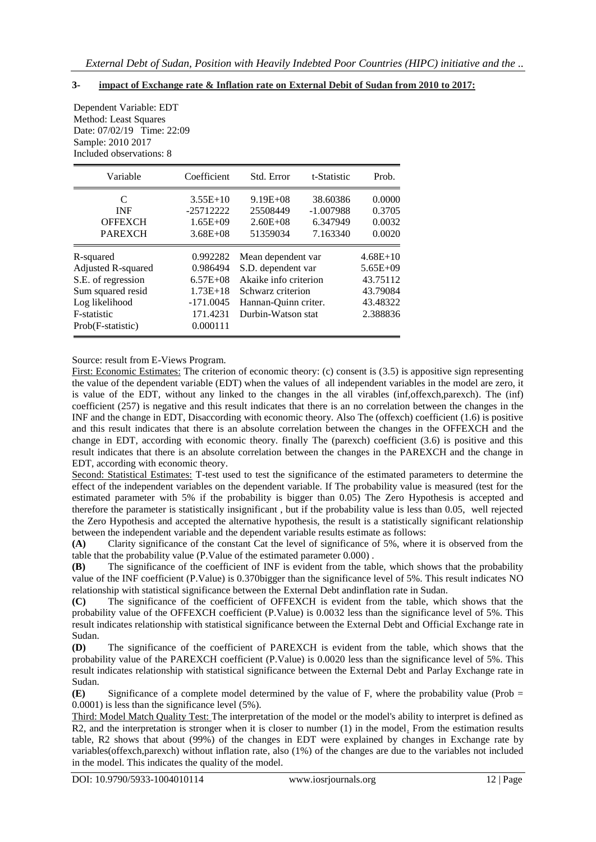# **3- impact of Exchange rate & Inflation rate on External Debit of Sudan from 2010 to 2017:**

Dependent Variable: EDT Method: Least Squares Date: 07/02/19 Time: 22:09 Sample: 2010 2017 Included observations: 8

| Variable                      | Coefficient  | Std. Error            | t-Statistic | Prob.        |
|-------------------------------|--------------|-----------------------|-------------|--------------|
| C                             | $3.55E+10$   | $9.19E + 08$          | 38.60386    | 0.0000       |
| <b>INF</b>                    | $-25712222$  | 25508449              | $-1.007988$ | 0.3705       |
| <b>OFFEXCH</b>                | $1.65E + 09$ | $2.60E + 08$          | 6.347949    | 0.0032       |
| <b>PAREXCH</b>                | $3.68E + 08$ | 51359034              | 7.163340    | 0.0020       |
| R-squared                     | 0.992282     | Mean dependent var    |             | $4.68E+10$   |
| Adjusted R-squared            | 0.986494     | S.D. dependent var    |             | $5.65E + 09$ |
| S.E. of regression            | $6.57E + 08$ | Akaike info criterion |             | 43.75112     |
| Sum squared resid             | $1.73E+18$   | Schwarz criterion     |             | 43.79084     |
| Log likelihood<br>$-171.0045$ |              | Hannan-Quinn criter.  |             | 43.48322     |
| F-statistic<br>171.4231       |              | Durbin-Watson stat    |             | 2.388836     |
| Prob(F-statistic)             | 0.000111     |                       |             |              |

Source: result from E-Views Program.

First: Economic Estimates: The criterion of economic theory: (c) consent is (3.5) is appositive sign representing the value of the dependent variable (EDT) when the values of all independent variables in the model are zero, it is value of the EDT, without any linked to the changes in the all virables (inf,offexch,parexch). The (inf) coefficient (257) is negative and this result indicates that there is an no correlation between the changes in the INF and the change in EDT, Disaccording with economic theory. Also The (offexch) coefficient (1.6) is positive and this result indicates that there is an absolute correlation between the changes in the OFFEXCH and the change in EDT, according with economic theory. finally The (parexch) coefficient (3.6) is positive and this result indicates that there is an absolute correlation between the changes in the PAREXCH and the change in EDT, according with economic theory.

Second: Statistical Estimates: T-test used to test the significance of the estimated parameters to determine the effect of the independent variables on the dependent variable. If The probability value is measured (test for the estimated parameter with 5% if the probability is bigger than 0.05) The Zero Hypothesis is accepted and therefore the parameter is statistically insignificant , but if the probability value is less than 0.05, well rejected the Zero Hypothesis and accepted the alternative hypothesis, the result is a statistically significant relationship between the independent variable and the dependent variable results estimate as follows:

**(A)** Clarity significance of the constant Cat the level of significance of 5%, where it is observed from the table that the probability value (P.Value of the estimated parameter 0.000) .

**(B)** The significance of the coefficient of INF is evident from the table, which shows that the probability value of the INF coefficient (P.Value) is 0.370bigger than the significance level of 5%. This result indicates NO relationship with statistical significance between the External Debt andinflation rate in Sudan.

**(C)** The significance of the coefficient of OFFEXCH is evident from the table, which shows that the probability value of the OFFEXCH coefficient (P.Value) is 0.0032 less than the significance level of 5%. This result indicates relationship with statistical significance between the External Debt and Official Exchange rate in Sudan.

**(D)** The significance of the coefficient of PAREXCH is evident from the table, which shows that the probability value of the PAREXCH coefficient (P.Value) is 0.0020 less than the significance level of 5%. This result indicates relationship with statistical significance between the External Debt and Parlay Exchange rate in Sudan.

**(E)** Significance of a complete model determined by the value of F, where the probability value (Prob = 0.0001) is less than the significance level (5%).

Third: Model Match Quality Test: The interpretation of the model or the model's ability to interpret is defined as R2, and the interpretation is stronger when it is closer to number (1) in the model. From the estimation results table, R2 shows that about (99%) of the changes in EDT were explained by changes in Exchange rate by variables(offexch,parexch) without inflation rate, also (1%) of the changes are due to the variables not included in the model. This indicates the quality of the model.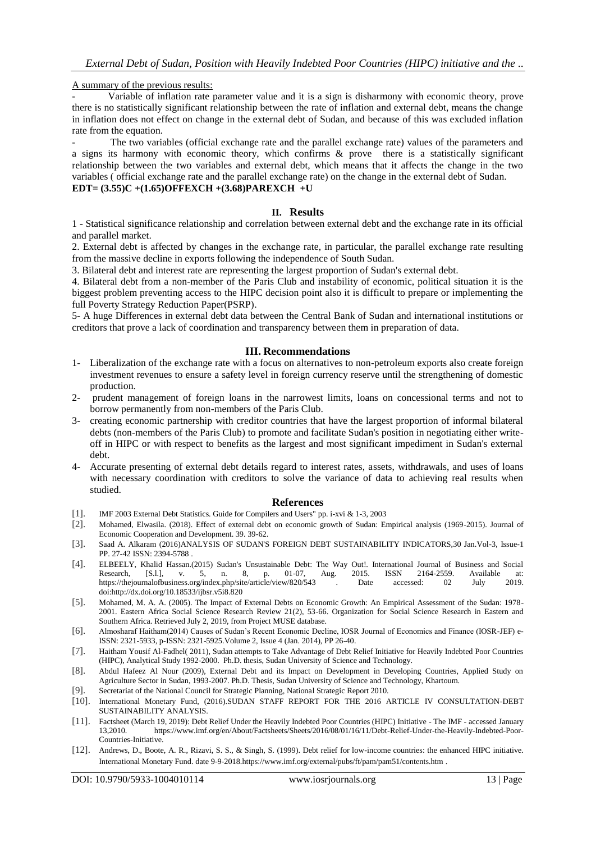A summary of the previous results:

- Variable of inflation rate parameter value and it is a sign is disharmony with economic theory, prove there is no statistically significant relationship between the rate of inflation and external debt, means the change in inflation does not effect on change in the external debt of Sudan, and because of this was excluded inflation rate from the equation.

The two variables (official exchange rate and the parallel exchange rate) values of the parameters and a signs its harmony with economic theory, which confirms & prove there is a statistically significant relationship between the two variables and external debt, which means that it affects the change in the two variables ( official exchange rate and the parallel exchange rate) on the change in the external debt of Sudan. **EDT= (3.55)C +(1.65)OFFEXCH +(3.68)PAREXCH +U**

#### **II. Results**

1 - Statistical significance relationship and correlation between external debt and the exchange rate in its official and parallel market.

2. External debt is affected by changes in the exchange rate, in particular, the parallel exchange rate resulting from the massive decline in exports following the independence of South Sudan.

3. Bilateral debt and interest rate are representing the largest proportion of Sudan's external debt.

4. Bilateral debt from a non-member of the Paris Club and instability of economic, political situation it is the biggest problem preventing access to the HIPC decision point also it is difficult to prepare or implementing the full Poverty Strategy Reduction Paper(PSRP).

5- A huge Differences in external debt data between the Central Bank of Sudan and international institutions or creditors that prove a lack of coordination and transparency between them in preparation of data.

#### **III. Recommendations**

- 1- Liberalization of the exchange rate with a focus on alternatives to non-petroleum exports also create foreign investment revenues to ensure a safety level in foreign currency reserve until the strengthening of domestic production.
- 2- prudent management of foreign loans in the narrowest limits, loans on concessional terms and not to borrow permanently from non-members of the Paris Club.
- 3- creating economic partnership with creditor countries that have the largest proportion of informal bilateral debts (non-members of the Paris Club) to promote and facilitate Sudan's position in negotiating either writeoff in HIPC or with respect to benefits as the largest and most significant impediment in Sudan's external debt.
- 4- Accurate presenting of external debt details regard to interest rates, assets, withdrawals, and uses of loans with necessary coordination with creditors to solve the variance of data to achieving real results when studied.

#### **References**

- [1]. IM[F 2003 External Debt Statistics. Guide for Compilers and Users"](http://www.imf.org/external/pubs/ft/eds/Eng/Guide/file1.pdf) pp. i-xvi & 1-3, 2003
- [2]. Mohamed, Elwasila. (2018). Effect of external debt on economic growth of Sudan: Empirical analysis (1969-2015). Journal of Economic Cooperation and Development. 39. 39-62.
- [3]. Saad A. Alkaram (2016)ANALYSIS OF SUDAN'S FOREIGN DEBT SUSTAINABILITY INDICATORS,30 Jan.Vol-3, Issue-1 PP. 27-42 ISSN: 2394-5788 .
- [4]. ELBEELY, Khalid Hassan.(2015) Sudan's Unsustainable Debt: The Way Out!. International Journal of Business and Social Research, [S.l.], v. 5, n. 8, p. 01-07, Aug. 2015. ISSN 2164-2559. Available at: https://thejournalofbusiness.org/index.php/site/article/view/820/543 . Date accessed: 02 July 2019. do[i:http://dx.doi.org/10.18533/ijbsr.v5i8.820](http://dx.doi.org/10.18533/ijbsr.v5i8.820)
- [5]. Mohamed, M. A. A. (2005). The Impact of External Debts on Economic Growth: An Empirical Assessment of the Sudan: 1978- 2001. Eastern Africa Social Science Research Review 21(2), 53-66. Organization for Social Science Research in Eastern and Southern Africa. Retrieved July 2, 2019, from Project MUSE database.
- [6]. Almosharaf Haitham(2014) Causes of Sudan's Recent Economic Decline, IOSR Journal of Economics and Finance (IOSR-JEF) e-ISSN: 2321-5933, p-ISSN: 2321-5925.Volume 2, Issue 4 (Jan. 2014), PP 26-40.
- [7]. Haitham Yousif Al-Fadhel( 2011), Sudan attempts to Take Advantage of Debt Relief Initiative for Heavily Indebted Poor Countries (HIPC), Analytical Study 1992-2000. Ph.D. thesis, Sudan University of Science and Technology.
- [8]. Abdul Hafeez Al Nour (2009), External Debt and its Impact on Development in Developing Countries, Applied Study on Agriculture Sector in Sudan, 1993-2007. Ph.D. Thesis, Sudan University of Science and Technology, Khartoum.
- [9]. Secretariat of the National Council for Strategic Planning, National Strategic Report 2010.
- [10]. International Monetary Fund, (2016).SUDAN STAFF REPORT FOR THE 2016 ARTICLE IV CONSULTATION-DEBT SUSTAINABILITY ANALYSIS.
- [11]. Factsheet (March 19, 2019): Debt Relief Under the Heavily Indebted Poor Countries (HIPC) Initiative The IMF accessed January 13,2010. [https://www.imf.org/en/About/Factsheets/Sheets/2016/08/01/16/11/Debt-Relief-Under-the-Heavily-Indebted-Poor-](https://www.imf.org/en/About/Factsheets/Sheets/2016/08/01/16/11/Debt-Relief-Under-the-Heavily-Indebted-Poor-Countries-Initiative)[Countries-Initiative.](https://www.imf.org/en/About/Factsheets/Sheets/2016/08/01/16/11/Debt-Relief-Under-the-Heavily-Indebted-Poor-Countries-Initiative)
- [12]. Andrews, D., Boote, A. R., Rizavi, S. S., & Singh, S. (1999). Debt relief for low-income countries: the enhanced HIPC initiative. International Monetary Fund. date 9-9-201[8.https://www.imf.org/external/pubs/ft/pam/pam51/contents.htm](https://www.imf.org/external/pubs/ft/pam/pam51/contents.htm) .